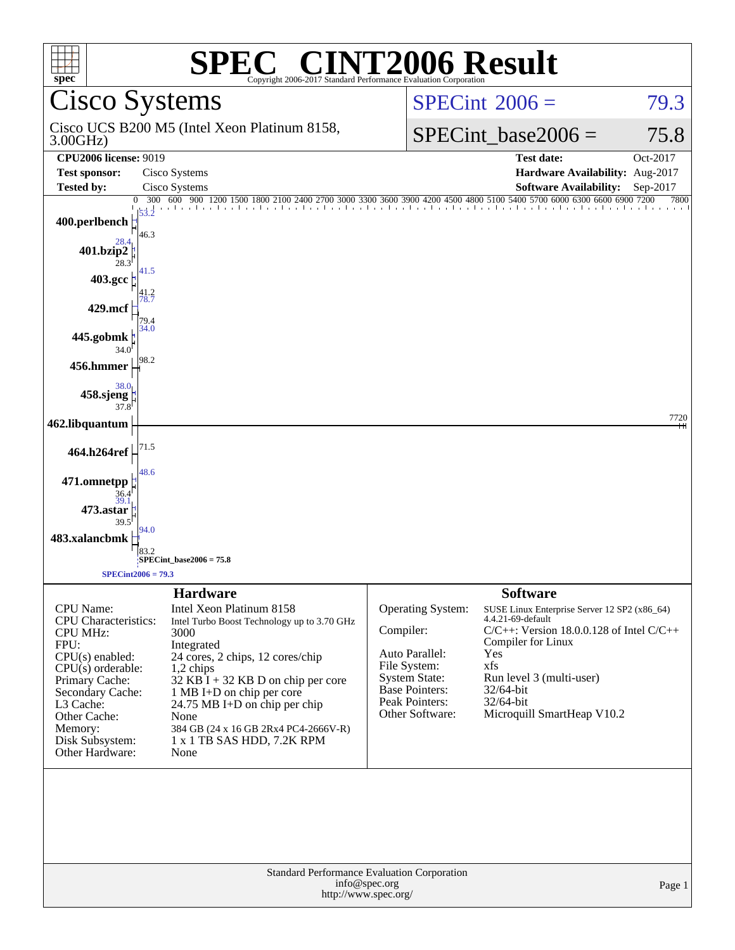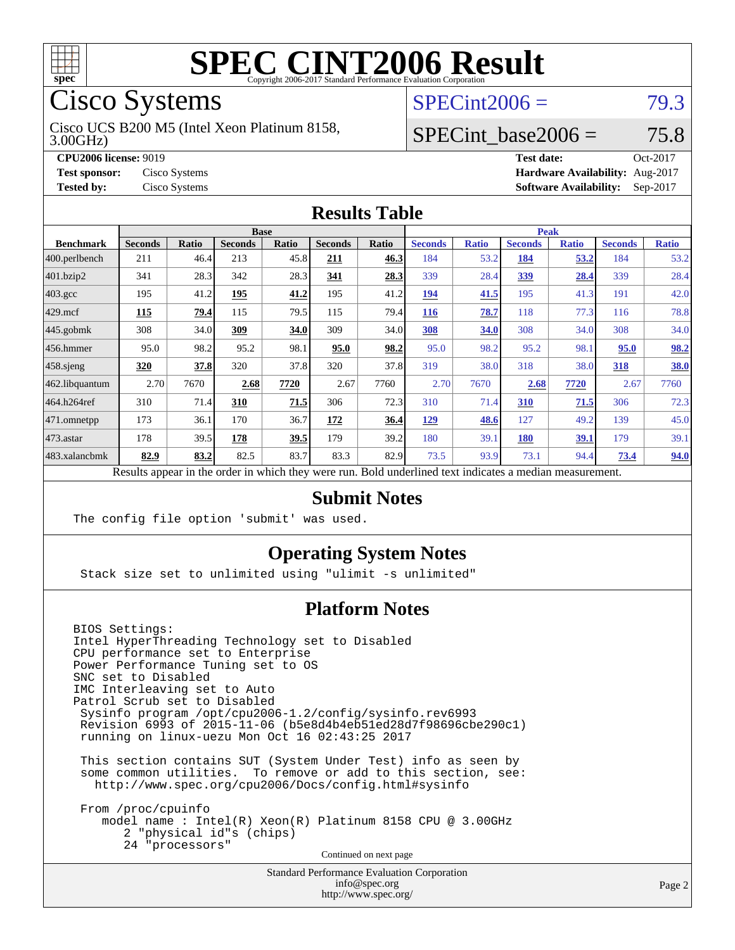

Cisco Systems

#### 3.00GHz) Cisco UCS B200 M5 (Intel Xeon Platinum 8158,

 $SPECint2006 = 79.3$  $SPECint2006 = 79.3$ 

# SPECint base2006 =  $75.8$

**[CPU2006 license:](http://www.spec.org/auto/cpu2006/Docs/result-fields.html#CPU2006license)** 9019 **[Test date:](http://www.spec.org/auto/cpu2006/Docs/result-fields.html#Testdate)** Oct-2017 **[Test sponsor:](http://www.spec.org/auto/cpu2006/Docs/result-fields.html#Testsponsor)** Cisco Systems **[Hardware Availability:](http://www.spec.org/auto/cpu2006/Docs/result-fields.html#HardwareAvailability)** Aug-2017 **[Tested by:](http://www.spec.org/auto/cpu2006/Docs/result-fields.html#Testedby)** Cisco Systems **[Software Availability:](http://www.spec.org/auto/cpu2006/Docs/result-fields.html#SoftwareAvailability)** Sep-2017

#### **[Results Table](http://www.spec.org/auto/cpu2006/Docs/result-fields.html#ResultsTable)**

|                                                                                                          | <b>Base</b>    |              |                |       |                |       |                | <b>Peak</b>  |                |              |                |              |
|----------------------------------------------------------------------------------------------------------|----------------|--------------|----------------|-------|----------------|-------|----------------|--------------|----------------|--------------|----------------|--------------|
| <b>Benchmark</b>                                                                                         | <b>Seconds</b> | <b>Ratio</b> | <b>Seconds</b> | Ratio | <b>Seconds</b> | Ratio | <b>Seconds</b> | <b>Ratio</b> | <b>Seconds</b> | <b>Ratio</b> | <b>Seconds</b> | <b>Ratio</b> |
| 400.perlbench                                                                                            | 211            | 46.4         | 213            | 45.8  | 211            | 46.3  | 184            | 53.2         | 184            | 53.2         | 184            | 53.2         |
| 401.bzip2                                                                                                | 341            | 28.3         | 342            | 28.3  | 341            | 28.3  | 339            | 28.4         | 339            | 28.4         | 339            | 28.4         |
| $403.\text{gcc}$                                                                                         | 195            | 41.2         | 195            | 41.2  | 195            | 41.2  | 194            | 41.5         | 195            | 41.3         | 191            | 42.0         |
| $429$ .mcf                                                                                               | 115            | 79.4         | 115            | 79.5  | 115            | 79.4  | 116            | 78.7         | 118            | 77.3         | 116            | 78.8         |
| $445$ .gobmk                                                                                             | 308            | 34.0         | 309            | 34.0  | 309            | 34.0  | 308            | 34.0         | 308            | 34.0         | 308            | 34.0         |
| $456.$ hmmer                                                                                             | 95.0           | 98.2         | 95.2           | 98.1  | 95.0           | 98.2  | 95.0           | 98.2         | 95.2           | 98.1         | 95.0           | 98.2         |
| $458$ .sjeng                                                                                             | 320            | 37.8         | 320            | 37.8  | 320            | 37.8  | 319            | 38.0         | 318            | 38.0         | 318            | 38.0         |
| 462.libquantum                                                                                           | 2.70           | 7670         | 2.68           | 7720  | 2.67           | 7760  | 2.70           | 7670         | 2.68           | 7720         | 2.67           | 7760         |
| 464.h264ref                                                                                              | 310            | 71.4         | 310            | 71.5  | 306            | 72.3  | 310            | 71.4         | 310            | 71.5         | 306            | 72.3         |
| $ 471$ .omnetpp                                                                                          | 173            | 36.1         | 170            | 36.7  | 172            | 36.4  | <u>129</u>     | 48.6         | 127            | 49.2         | 139            | 45.0         |
| $473$ . astar                                                                                            | 178            | 39.5         | 178            | 39.5  | 179            | 39.2  | 180            | 39.1         | <b>180</b>     | 39.1         | 179            | 39.1         |
| 483.xalancbmk                                                                                            | 82.9           | 83.2         | 82.5           | 83.7  | 83.3           | 82.9  | 73.5           | 93.9         | 73.1           | 94.4         | 73.4           | 94.0         |
| Results appear in the order in which they were run. Bold underlined text indicates a median measurement. |                |              |                |       |                |       |                |              |                |              |                |              |

#### **[Submit Notes](http://www.spec.org/auto/cpu2006/Docs/result-fields.html#SubmitNotes)**

The config file option 'submit' was used.

### **[Operating System Notes](http://www.spec.org/auto/cpu2006/Docs/result-fields.html#OperatingSystemNotes)**

Stack size set to unlimited using "ulimit -s unlimited"

### **[Platform Notes](http://www.spec.org/auto/cpu2006/Docs/result-fields.html#PlatformNotes)**

BIOS Settings: Intel HyperThreading Technology set to Disabled CPU performance set to Enterprise Power Performance Tuning set to OS SNC set to Disabled IMC Interleaving set to Auto Patrol Scrub set to Disabled Sysinfo program /opt/cpu2006-1.2/config/sysinfo.rev6993 Revision 6993 of 2015-11-06 (b5e8d4b4eb51ed28d7f98696cbe290c1) running on linux-uezu Mon Oct 16 02:43:25 2017 This section contains SUT (System Under Test) info as seen by

 some common utilities. To remove or add to this section, see: <http://www.spec.org/cpu2006/Docs/config.html#sysinfo>

 From /proc/cpuinfo model name : Intel(R) Xeon(R) Platinum 8158 CPU @ 3.00GHz 2 "physical id"s (chips) 24 "processors" Continued on next page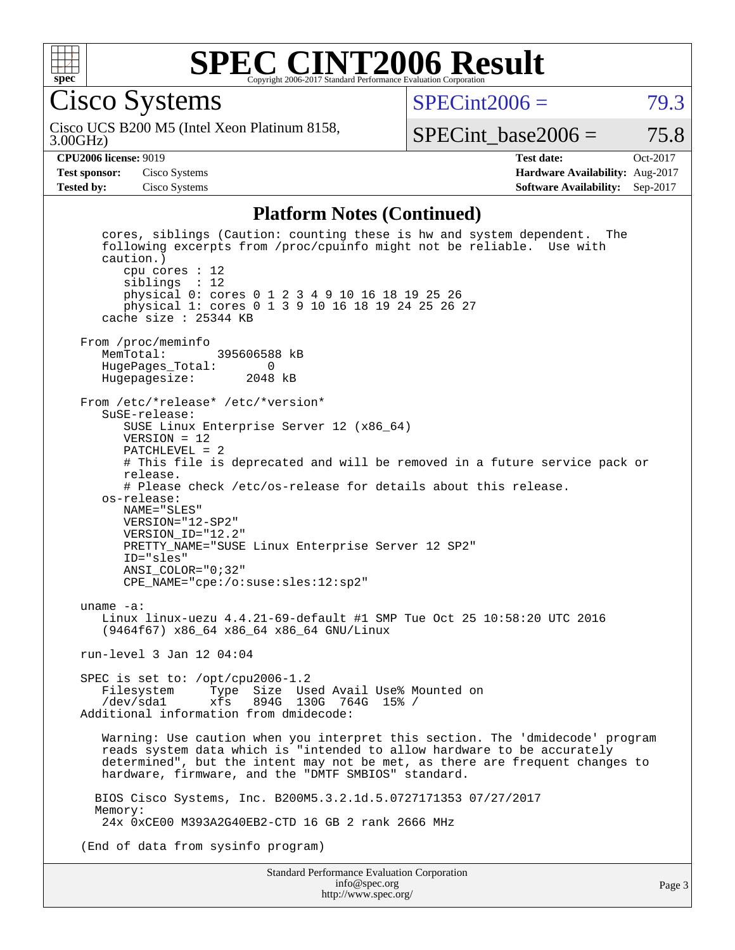

### **[SPEC CINT2006 Result](http://www.spec.org/auto/cpu2006/Docs/result-fields.html#SPECCINT2006Result)** Copyright 2006-2017 Standard Performance Evaluation Corporation

Cisco Systems

 $SPECint2006 = 79.3$  $SPECint2006 = 79.3$ 

3.00GHz) Cisco UCS B200 M5 (Intel Xeon Platinum 8158,

SPECint base2006 =  $75.8$ 

**[CPU2006 license:](http://www.spec.org/auto/cpu2006/Docs/result-fields.html#CPU2006license)** 9019 **[Test date:](http://www.spec.org/auto/cpu2006/Docs/result-fields.html#Testdate)** Oct-2017 **[Test sponsor:](http://www.spec.org/auto/cpu2006/Docs/result-fields.html#Testsponsor)** Cisco Systems **[Hardware Availability:](http://www.spec.org/auto/cpu2006/Docs/result-fields.html#HardwareAvailability)** Aug-2017 **[Tested by:](http://www.spec.org/auto/cpu2006/Docs/result-fields.html#Testedby)** Cisco Systems **[Software Availability:](http://www.spec.org/auto/cpu2006/Docs/result-fields.html#SoftwareAvailability)** Sep-2017

#### **[Platform Notes \(Continued\)](http://www.spec.org/auto/cpu2006/Docs/result-fields.html#PlatformNotes)**

Standard Performance Evaluation Corporation cores, siblings (Caution: counting these is hw and system dependent. The following excerpts from /proc/cpuinfo might not be reliable. Use with caution.) cpu cores : 12 siblings : 12 physical 0: cores 0 1 2 3 4 9 10 16 18 19 25 26 physical 1: cores 0 1 3 9 10 16 18 19 24 25 26 27 cache size : 25344 KB From /proc/meminfo<br>MemTotal: 395606588 kB HugePages\_Total: 0 Hugepagesize: 2048 kB From /etc/\*release\* /etc/\*version\* SuSE-release: SUSE Linux Enterprise Server 12 (x86\_64) VERSION = 12 PATCHLEVEL = 2 # This file is deprecated and will be removed in a future service pack or release. # Please check /etc/os-release for details about this release. os-release: NAME="SLES" VERSION="12-SP2" VERSION\_ID="12.2" PRETTY\_NAME="SUSE Linux Enterprise Server 12 SP2" ID="sles" ANSI\_COLOR="0;32" CPE\_NAME="cpe:/o:suse:sles:12:sp2" uname -a: Linux linux-uezu 4.4.21-69-default #1 SMP Tue Oct 25 10:58:20 UTC 2016 (9464f67) x86\_64 x86\_64 x86\_64 GNU/Linux run-level 3 Jan 12 04:04 SPEC is set to: /opt/cpu2006-1.2<br>Filesystem Type Size Use Filesystem Type Size Used Avail Use% Mounted on /dev/sda1 xfs 894G 130G 764G 15% / Additional information from dmidecode: Warning: Use caution when you interpret this section. The 'dmidecode' program reads system data which is "intended to allow hardware to be accurately determined", but the intent may not be met, as there are frequent changes to hardware, firmware, and the "DMTF SMBIOS" standard. BIOS Cisco Systems, Inc. B200M5.3.2.1d.5.0727171353 07/27/2017 Memory: 24x 0xCE00 M393A2G40EB2-CTD 16 GB 2 rank 2666 MHz (End of data from sysinfo program)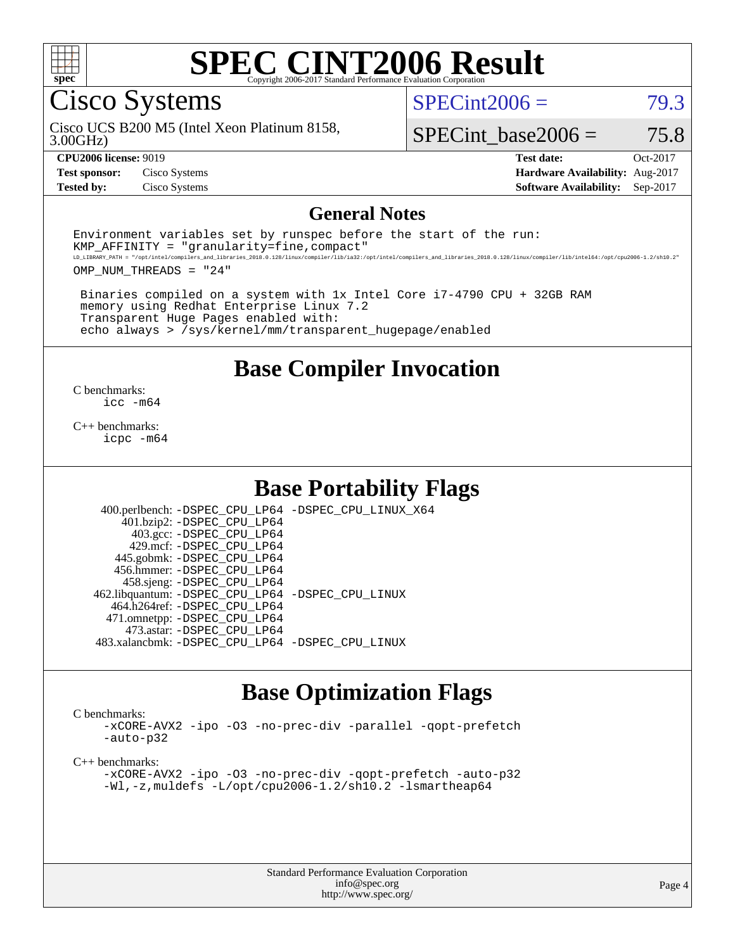

Cisco Systems

 $SPECint2006 = 79.3$  $SPECint2006 = 79.3$ 

3.00GHz) Cisco UCS B200 M5 (Intel Xeon Platinum 8158,

SPECint base2006 =  $75.8$ 

**[Test sponsor:](http://www.spec.org/auto/cpu2006/Docs/result-fields.html#Testsponsor)** Cisco Systems **[Hardware Availability:](http://www.spec.org/auto/cpu2006/Docs/result-fields.html#HardwareAvailability)** Aug-2017 **[Tested by:](http://www.spec.org/auto/cpu2006/Docs/result-fields.html#Testedby)** Cisco Systems **[Software Availability:](http://www.spec.org/auto/cpu2006/Docs/result-fields.html#SoftwareAvailability)** Sep-2017

**[CPU2006 license:](http://www.spec.org/auto/cpu2006/Docs/result-fields.html#CPU2006license)** 9019 **[Test date:](http://www.spec.org/auto/cpu2006/Docs/result-fields.html#Testdate)** Oct-2017

#### **[General Notes](http://www.spec.org/auto/cpu2006/Docs/result-fields.html#GeneralNotes)**

Environment variables set by runspec before the start of the run:  $KMP$  AFFINITY = "granularity=fine, compact" LD\_LIBRARY\_PATH = "/opt/intel/compilers\_and\_libraries\_2018.0.128/linux/compiler/lib/ia32:/opt/intel/compilers\_and\_libraries\_2018.0.128/linux/compiler/lib/intel64:/opt/cpu2006-1.2/sh10.2"

OMP\_NUM\_THREADS = "24"

 Binaries compiled on a system with 1x Intel Core i7-4790 CPU + 32GB RAM memory using Redhat Enterprise Linux 7.2 Transparent Huge Pages enabled with: echo always > /sys/kernel/mm/transparent\_hugepage/enabled

**[Base Compiler Invocation](http://www.spec.org/auto/cpu2006/Docs/result-fields.html#BaseCompilerInvocation)**

[C benchmarks](http://www.spec.org/auto/cpu2006/Docs/result-fields.html#Cbenchmarks): [icc -m64](http://www.spec.org/cpu2006/results/res2017q4/cpu2006-20171017-50356.flags.html#user_CCbase_intel_icc_64bit_bda6cc9af1fdbb0edc3795bac97ada53)

[C++ benchmarks:](http://www.spec.org/auto/cpu2006/Docs/result-fields.html#CXXbenchmarks) [icpc -m64](http://www.spec.org/cpu2006/results/res2017q4/cpu2006-20171017-50356.flags.html#user_CXXbase_intel_icpc_64bit_fc66a5337ce925472a5c54ad6a0de310)

### **[Base Portability Flags](http://www.spec.org/auto/cpu2006/Docs/result-fields.html#BasePortabilityFlags)**

 400.perlbench: [-DSPEC\\_CPU\\_LP64](http://www.spec.org/cpu2006/results/res2017q4/cpu2006-20171017-50356.flags.html#b400.perlbench_basePORTABILITY_DSPEC_CPU_LP64) [-DSPEC\\_CPU\\_LINUX\\_X64](http://www.spec.org/cpu2006/results/res2017q4/cpu2006-20171017-50356.flags.html#b400.perlbench_baseCPORTABILITY_DSPEC_CPU_LINUX_X64) 401.bzip2: [-DSPEC\\_CPU\\_LP64](http://www.spec.org/cpu2006/results/res2017q4/cpu2006-20171017-50356.flags.html#suite_basePORTABILITY401_bzip2_DSPEC_CPU_LP64) 403.gcc: [-DSPEC\\_CPU\\_LP64](http://www.spec.org/cpu2006/results/res2017q4/cpu2006-20171017-50356.flags.html#suite_basePORTABILITY403_gcc_DSPEC_CPU_LP64) 429.mcf: [-DSPEC\\_CPU\\_LP64](http://www.spec.org/cpu2006/results/res2017q4/cpu2006-20171017-50356.flags.html#suite_basePORTABILITY429_mcf_DSPEC_CPU_LP64) 445.gobmk: [-DSPEC\\_CPU\\_LP64](http://www.spec.org/cpu2006/results/res2017q4/cpu2006-20171017-50356.flags.html#suite_basePORTABILITY445_gobmk_DSPEC_CPU_LP64) 456.hmmer: [-DSPEC\\_CPU\\_LP64](http://www.spec.org/cpu2006/results/res2017q4/cpu2006-20171017-50356.flags.html#suite_basePORTABILITY456_hmmer_DSPEC_CPU_LP64) 458.sjeng: [-DSPEC\\_CPU\\_LP64](http://www.spec.org/cpu2006/results/res2017q4/cpu2006-20171017-50356.flags.html#suite_basePORTABILITY458_sjeng_DSPEC_CPU_LP64) 462.libquantum: [-DSPEC\\_CPU\\_LP64](http://www.spec.org/cpu2006/results/res2017q4/cpu2006-20171017-50356.flags.html#suite_basePORTABILITY462_libquantum_DSPEC_CPU_LP64) [-DSPEC\\_CPU\\_LINUX](http://www.spec.org/cpu2006/results/res2017q4/cpu2006-20171017-50356.flags.html#b462.libquantum_baseCPORTABILITY_DSPEC_CPU_LINUX) 464.h264ref: [-DSPEC\\_CPU\\_LP64](http://www.spec.org/cpu2006/results/res2017q4/cpu2006-20171017-50356.flags.html#suite_basePORTABILITY464_h264ref_DSPEC_CPU_LP64) 471.omnetpp: [-DSPEC\\_CPU\\_LP64](http://www.spec.org/cpu2006/results/res2017q4/cpu2006-20171017-50356.flags.html#suite_basePORTABILITY471_omnetpp_DSPEC_CPU_LP64) 473.astar: [-DSPEC\\_CPU\\_LP64](http://www.spec.org/cpu2006/results/res2017q4/cpu2006-20171017-50356.flags.html#suite_basePORTABILITY473_astar_DSPEC_CPU_LP64) 483.xalancbmk: [-DSPEC\\_CPU\\_LP64](http://www.spec.org/cpu2006/results/res2017q4/cpu2006-20171017-50356.flags.html#suite_basePORTABILITY483_xalancbmk_DSPEC_CPU_LP64) [-DSPEC\\_CPU\\_LINUX](http://www.spec.org/cpu2006/results/res2017q4/cpu2006-20171017-50356.flags.html#b483.xalancbmk_baseCXXPORTABILITY_DSPEC_CPU_LINUX)

# **[Base Optimization Flags](http://www.spec.org/auto/cpu2006/Docs/result-fields.html#BaseOptimizationFlags)**

[C benchmarks](http://www.spec.org/auto/cpu2006/Docs/result-fields.html#Cbenchmarks):

[-xCORE-AVX2](http://www.spec.org/cpu2006/results/res2017q4/cpu2006-20171017-50356.flags.html#user_CCbase_f-xCORE-AVX2) [-ipo](http://www.spec.org/cpu2006/results/res2017q4/cpu2006-20171017-50356.flags.html#user_CCbase_f-ipo) [-O3](http://www.spec.org/cpu2006/results/res2017q4/cpu2006-20171017-50356.flags.html#user_CCbase_f-O3) [-no-prec-div](http://www.spec.org/cpu2006/results/res2017q4/cpu2006-20171017-50356.flags.html#user_CCbase_f-no-prec-div) [-parallel](http://www.spec.org/cpu2006/results/res2017q4/cpu2006-20171017-50356.flags.html#user_CCbase_f-parallel) [-qopt-prefetch](http://www.spec.org/cpu2006/results/res2017q4/cpu2006-20171017-50356.flags.html#user_CCbase_f-qopt-prefetch) [-auto-p32](http://www.spec.org/cpu2006/results/res2017q4/cpu2006-20171017-50356.flags.html#user_CCbase_f-auto-p32)

[C++ benchmarks:](http://www.spec.org/auto/cpu2006/Docs/result-fields.html#CXXbenchmarks)

[-xCORE-AVX2](http://www.spec.org/cpu2006/results/res2017q4/cpu2006-20171017-50356.flags.html#user_CXXbase_f-xCORE-AVX2) [-ipo](http://www.spec.org/cpu2006/results/res2017q4/cpu2006-20171017-50356.flags.html#user_CXXbase_f-ipo) [-O3](http://www.spec.org/cpu2006/results/res2017q4/cpu2006-20171017-50356.flags.html#user_CXXbase_f-O3) [-no-prec-div](http://www.spec.org/cpu2006/results/res2017q4/cpu2006-20171017-50356.flags.html#user_CXXbase_f-no-prec-div) [-qopt-prefetch](http://www.spec.org/cpu2006/results/res2017q4/cpu2006-20171017-50356.flags.html#user_CXXbase_f-qopt-prefetch) [-auto-p32](http://www.spec.org/cpu2006/results/res2017q4/cpu2006-20171017-50356.flags.html#user_CXXbase_f-auto-p32) [-Wl,-z,muldefs](http://www.spec.org/cpu2006/results/res2017q4/cpu2006-20171017-50356.flags.html#user_CXXbase_link_force_multiple1_74079c344b956b9658436fd1b6dd3a8a) [-L/opt/cpu2006-1.2/sh10.2 -lsmartheap64](http://www.spec.org/cpu2006/results/res2017q4/cpu2006-20171017-50356.flags.html#user_CXXbase_SmartHeap64_ac7189ff96af0c569ef6f8e96b0554f2)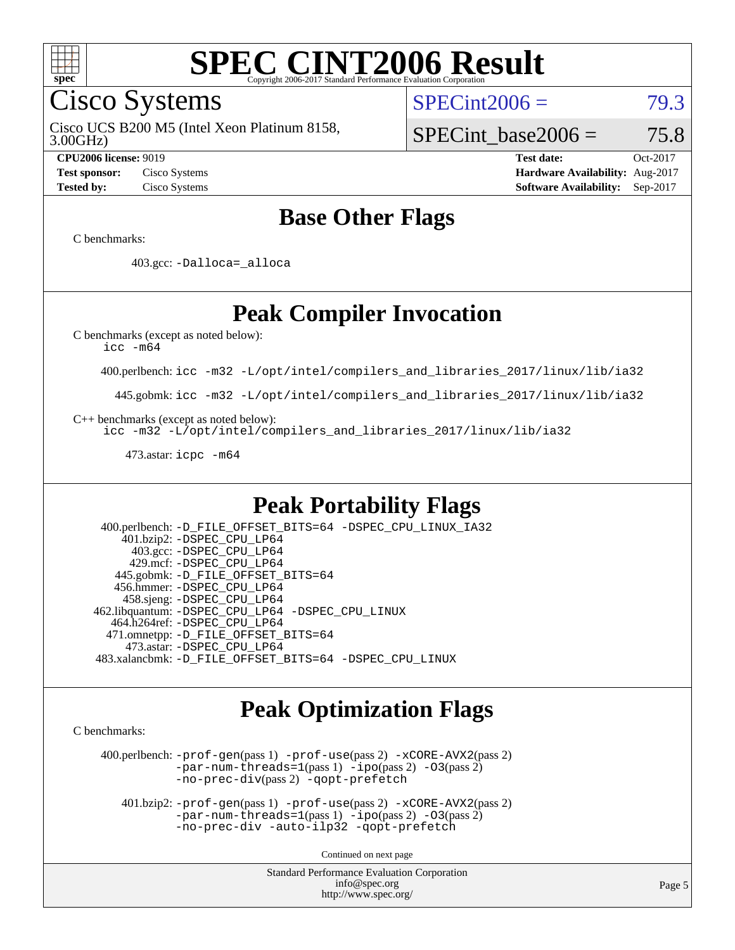

Cisco Systems

3.00GHz) Cisco UCS B200 M5 (Intel Xeon Platinum 8158,  $SPECint2006 = 79.3$  $SPECint2006 = 79.3$ 

# SPECint base2006 =  $75.8$

**[CPU2006 license:](http://www.spec.org/auto/cpu2006/Docs/result-fields.html#CPU2006license)** 9019 **[Test date:](http://www.spec.org/auto/cpu2006/Docs/result-fields.html#Testdate)** Oct-2017 **[Test sponsor:](http://www.spec.org/auto/cpu2006/Docs/result-fields.html#Testsponsor)** Cisco Systems **[Hardware Availability:](http://www.spec.org/auto/cpu2006/Docs/result-fields.html#HardwareAvailability)** Aug-2017 **[Tested by:](http://www.spec.org/auto/cpu2006/Docs/result-fields.html#Testedby)** Cisco Systems **[Software Availability:](http://www.spec.org/auto/cpu2006/Docs/result-fields.html#SoftwareAvailability)** Sep-2017

# **[Base Other Flags](http://www.spec.org/auto/cpu2006/Docs/result-fields.html#BaseOtherFlags)**

[C benchmarks](http://www.spec.org/auto/cpu2006/Docs/result-fields.html#Cbenchmarks):

403.gcc: [-Dalloca=\\_alloca](http://www.spec.org/cpu2006/results/res2017q4/cpu2006-20171017-50356.flags.html#b403.gcc_baseEXTRA_CFLAGS_Dalloca_be3056838c12de2578596ca5467af7f3)

# **[Peak Compiler Invocation](http://www.spec.org/auto/cpu2006/Docs/result-fields.html#PeakCompilerInvocation)**

[C benchmarks \(except as noted below\)](http://www.spec.org/auto/cpu2006/Docs/result-fields.html#Cbenchmarksexceptasnotedbelow):

[icc -m64](http://www.spec.org/cpu2006/results/res2017q4/cpu2006-20171017-50356.flags.html#user_CCpeak_intel_icc_64bit_bda6cc9af1fdbb0edc3795bac97ada53)

400.perlbench: [icc -m32 -L/opt/intel/compilers\\_and\\_libraries\\_2017/linux/lib/ia32](http://www.spec.org/cpu2006/results/res2017q4/cpu2006-20171017-50356.flags.html#user_peakCCLD400_perlbench_intel_icc_c29f3ff5a7ed067b11e4ec10a03f03ae)

445.gobmk: [icc -m32 -L/opt/intel/compilers\\_and\\_libraries\\_2017/linux/lib/ia32](http://www.spec.org/cpu2006/results/res2017q4/cpu2006-20171017-50356.flags.html#user_peakCCLD445_gobmk_intel_icc_c29f3ff5a7ed067b11e4ec10a03f03ae)

[C++ benchmarks \(except as noted below\):](http://www.spec.org/auto/cpu2006/Docs/result-fields.html#CXXbenchmarksexceptasnotedbelow)

[icc -m32 -L/opt/intel/compilers\\_and\\_libraries\\_2017/linux/lib/ia32](http://www.spec.org/cpu2006/results/res2017q4/cpu2006-20171017-50356.flags.html#user_CXXpeak_intel_icc_c29f3ff5a7ed067b11e4ec10a03f03ae)

473.astar: [icpc -m64](http://www.spec.org/cpu2006/results/res2017q4/cpu2006-20171017-50356.flags.html#user_peakCXXLD473_astar_intel_icpc_64bit_fc66a5337ce925472a5c54ad6a0de310)

# **[Peak Portability Flags](http://www.spec.org/auto/cpu2006/Docs/result-fields.html#PeakPortabilityFlags)**

 400.perlbench: [-D\\_FILE\\_OFFSET\\_BITS=64](http://www.spec.org/cpu2006/results/res2017q4/cpu2006-20171017-50356.flags.html#user_peakPORTABILITY400_perlbench_file_offset_bits_64_438cf9856305ebd76870a2c6dc2689ab) [-DSPEC\\_CPU\\_LINUX\\_IA32](http://www.spec.org/cpu2006/results/res2017q4/cpu2006-20171017-50356.flags.html#b400.perlbench_peakCPORTABILITY_DSPEC_CPU_LINUX_IA32) 401.bzip2: [-DSPEC\\_CPU\\_LP64](http://www.spec.org/cpu2006/results/res2017q4/cpu2006-20171017-50356.flags.html#suite_peakPORTABILITY401_bzip2_DSPEC_CPU_LP64) 403.gcc: [-DSPEC\\_CPU\\_LP64](http://www.spec.org/cpu2006/results/res2017q4/cpu2006-20171017-50356.flags.html#suite_peakPORTABILITY403_gcc_DSPEC_CPU_LP64) 429.mcf: [-DSPEC\\_CPU\\_LP64](http://www.spec.org/cpu2006/results/res2017q4/cpu2006-20171017-50356.flags.html#suite_peakPORTABILITY429_mcf_DSPEC_CPU_LP64) 445.gobmk: [-D\\_FILE\\_OFFSET\\_BITS=64](http://www.spec.org/cpu2006/results/res2017q4/cpu2006-20171017-50356.flags.html#user_peakPORTABILITY445_gobmk_file_offset_bits_64_438cf9856305ebd76870a2c6dc2689ab) 456.hmmer: [-DSPEC\\_CPU\\_LP64](http://www.spec.org/cpu2006/results/res2017q4/cpu2006-20171017-50356.flags.html#suite_peakPORTABILITY456_hmmer_DSPEC_CPU_LP64) 458.sjeng: [-DSPEC\\_CPU\\_LP64](http://www.spec.org/cpu2006/results/res2017q4/cpu2006-20171017-50356.flags.html#suite_peakPORTABILITY458_sjeng_DSPEC_CPU_LP64) 462.libquantum: [-DSPEC\\_CPU\\_LP64](http://www.spec.org/cpu2006/results/res2017q4/cpu2006-20171017-50356.flags.html#suite_peakPORTABILITY462_libquantum_DSPEC_CPU_LP64) [-DSPEC\\_CPU\\_LINUX](http://www.spec.org/cpu2006/results/res2017q4/cpu2006-20171017-50356.flags.html#b462.libquantum_peakCPORTABILITY_DSPEC_CPU_LINUX) 464.h264ref: [-DSPEC\\_CPU\\_LP64](http://www.spec.org/cpu2006/results/res2017q4/cpu2006-20171017-50356.flags.html#suite_peakPORTABILITY464_h264ref_DSPEC_CPU_LP64) 471.omnetpp: [-D\\_FILE\\_OFFSET\\_BITS=64](http://www.spec.org/cpu2006/results/res2017q4/cpu2006-20171017-50356.flags.html#user_peakPORTABILITY471_omnetpp_file_offset_bits_64_438cf9856305ebd76870a2c6dc2689ab) 473.astar: [-DSPEC\\_CPU\\_LP64](http://www.spec.org/cpu2006/results/res2017q4/cpu2006-20171017-50356.flags.html#suite_peakPORTABILITY473_astar_DSPEC_CPU_LP64) 483.xalancbmk: [-D\\_FILE\\_OFFSET\\_BITS=64](http://www.spec.org/cpu2006/results/res2017q4/cpu2006-20171017-50356.flags.html#user_peakPORTABILITY483_xalancbmk_file_offset_bits_64_438cf9856305ebd76870a2c6dc2689ab) [-DSPEC\\_CPU\\_LINUX](http://www.spec.org/cpu2006/results/res2017q4/cpu2006-20171017-50356.flags.html#b483.xalancbmk_peakCXXPORTABILITY_DSPEC_CPU_LINUX)

# **[Peak Optimization Flags](http://www.spec.org/auto/cpu2006/Docs/result-fields.html#PeakOptimizationFlags)**

[C benchmarks](http://www.spec.org/auto/cpu2006/Docs/result-fields.html#Cbenchmarks):

 400.perlbench: [-prof-gen](http://www.spec.org/cpu2006/results/res2017q4/cpu2006-20171017-50356.flags.html#user_peakPASS1_CFLAGSPASS1_LDCFLAGS400_perlbench_prof_gen_e43856698f6ca7b7e442dfd80e94a8fc)(pass 1) [-prof-use](http://www.spec.org/cpu2006/results/res2017q4/cpu2006-20171017-50356.flags.html#user_peakPASS2_CFLAGSPASS2_LDCFLAGS400_perlbench_prof_use_bccf7792157ff70d64e32fe3e1250b55)(pass 2) [-xCORE-AVX2](http://www.spec.org/cpu2006/results/res2017q4/cpu2006-20171017-50356.flags.html#user_peakPASS2_CFLAGSPASS2_LDCFLAGS400_perlbench_f-xCORE-AVX2)(pass 2) [-par-num-threads=1](http://www.spec.org/cpu2006/results/res2017q4/cpu2006-20171017-50356.flags.html#user_peakPASS1_CFLAGSPASS1_LDCFLAGS400_perlbench_par_num_threads_786a6ff141b4e9e90432e998842df6c2)(pass 1) [-ipo](http://www.spec.org/cpu2006/results/res2017q4/cpu2006-20171017-50356.flags.html#user_peakPASS2_CFLAGSPASS2_LDCFLAGS400_perlbench_f-ipo)(pass 2) [-O3](http://www.spec.org/cpu2006/results/res2017q4/cpu2006-20171017-50356.flags.html#user_peakPASS2_CFLAGSPASS2_LDCFLAGS400_perlbench_f-O3)(pass 2) [-no-prec-div](http://www.spec.org/cpu2006/results/res2017q4/cpu2006-20171017-50356.flags.html#user_peakPASS2_CFLAGSPASS2_LDCFLAGS400_perlbench_f-no-prec-div)(pass 2) [-qopt-prefetch](http://www.spec.org/cpu2006/results/res2017q4/cpu2006-20171017-50356.flags.html#user_peakCOPTIMIZE400_perlbench_f-qopt-prefetch)

 401.bzip2: [-prof-gen](http://www.spec.org/cpu2006/results/res2017q4/cpu2006-20171017-50356.flags.html#user_peakPASS1_CFLAGSPASS1_LDCFLAGS401_bzip2_prof_gen_e43856698f6ca7b7e442dfd80e94a8fc)(pass 1) [-prof-use](http://www.spec.org/cpu2006/results/res2017q4/cpu2006-20171017-50356.flags.html#user_peakPASS2_CFLAGSPASS2_LDCFLAGS401_bzip2_prof_use_bccf7792157ff70d64e32fe3e1250b55)(pass 2) [-xCORE-AVX2](http://www.spec.org/cpu2006/results/res2017q4/cpu2006-20171017-50356.flags.html#user_peakPASS2_CFLAGSPASS2_LDCFLAGS401_bzip2_f-xCORE-AVX2)(pass 2)  $-par-num-threads=1(pass 1) -ipo(pass 2) -O3(pass 2)$  $-par-num-threads=1(pass 1) -ipo(pass 2) -O3(pass 2)$  $-par-num-threads=1(pass 1) -ipo(pass 2) -O3(pass 2)$  $-par-num-threads=1(pass 1) -ipo(pass 2) -O3(pass 2)$  $-par-num-threads=1(pass 1) -ipo(pass 2) -O3(pass 2)$  $-par-num-threads=1(pass 1) -ipo(pass 2) -O3(pass 2)$ [-no-prec-div](http://www.spec.org/cpu2006/results/res2017q4/cpu2006-20171017-50356.flags.html#user_peakCOPTIMIZEPASS2_CFLAGSPASS2_LDCFLAGS401_bzip2_f-no-prec-div) [-auto-ilp32](http://www.spec.org/cpu2006/results/res2017q4/cpu2006-20171017-50356.flags.html#user_peakCOPTIMIZE401_bzip2_f-auto-ilp32) [-qopt-prefetch](http://www.spec.org/cpu2006/results/res2017q4/cpu2006-20171017-50356.flags.html#user_peakCOPTIMIZE401_bzip2_f-qopt-prefetch)

Continued on next page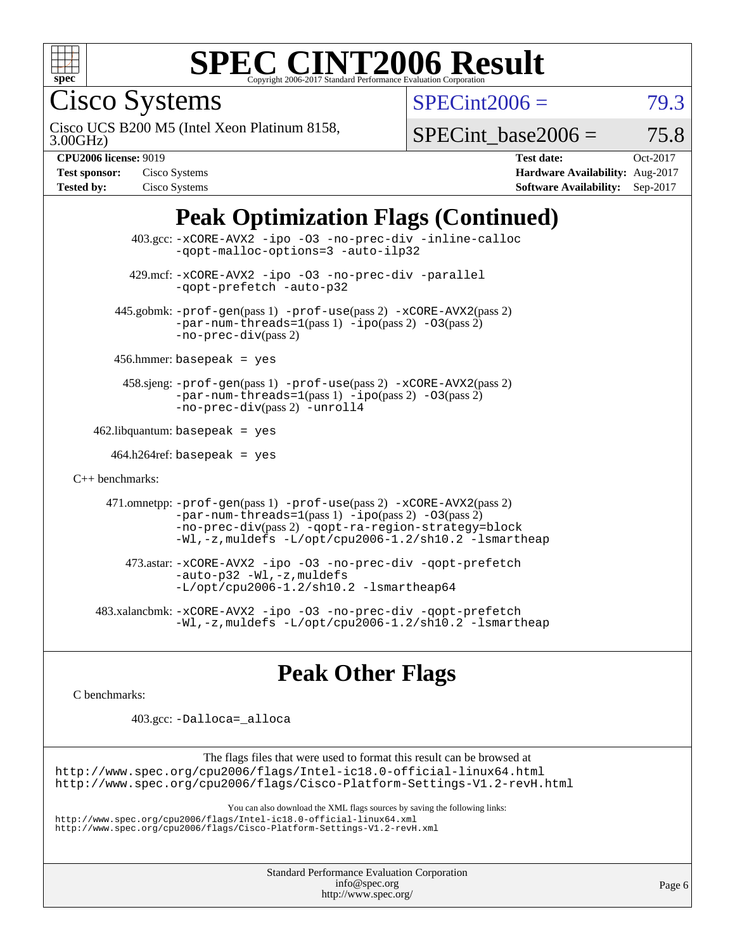

Cisco Systems

 $SPECint2006 = 79.3$  $SPECint2006 = 79.3$ 

3.00GHz) Cisco UCS B200 M5 (Intel Xeon Platinum 8158,

SPECint base2006 =  $75.8$ 

| <b>Test sponsor:</b> | Cisco Systems |
|----------------------|---------------|
| <b>Tested by:</b>    | Cisco Systems |

**[CPU2006 license:](http://www.spec.org/auto/cpu2006/Docs/result-fields.html#CPU2006license)** 9019 **[Test date:](http://www.spec.org/auto/cpu2006/Docs/result-fields.html#Testdate)** Oct-2017 **[Hardware Availability:](http://www.spec.org/auto/cpu2006/Docs/result-fields.html#HardwareAvailability)** Aug-2017 **[Software Availability:](http://www.spec.org/auto/cpu2006/Docs/result-fields.html#SoftwareAvailability)** Sep-2017

# **[Peak Optimization Flags \(Continued\)](http://www.spec.org/auto/cpu2006/Docs/result-fields.html#PeakOptimizationFlags)**

 403.gcc: [-xCORE-AVX2](http://www.spec.org/cpu2006/results/res2017q4/cpu2006-20171017-50356.flags.html#user_peakOPTIMIZE403_gcc_f-xCORE-AVX2) [-ipo](http://www.spec.org/cpu2006/results/res2017q4/cpu2006-20171017-50356.flags.html#user_peakOPTIMIZE403_gcc_f-ipo) [-O3](http://www.spec.org/cpu2006/results/res2017q4/cpu2006-20171017-50356.flags.html#user_peakOPTIMIZE403_gcc_f-O3) [-no-prec-div](http://www.spec.org/cpu2006/results/res2017q4/cpu2006-20171017-50356.flags.html#user_peakOPTIMIZE403_gcc_f-no-prec-div) [-inline-calloc](http://www.spec.org/cpu2006/results/res2017q4/cpu2006-20171017-50356.flags.html#user_peakCOPTIMIZE403_gcc_f-inline-calloc) [-qopt-malloc-options=3](http://www.spec.org/cpu2006/results/res2017q4/cpu2006-20171017-50356.flags.html#user_peakCOPTIMIZE403_gcc_f-qopt-malloc-options_0fcb435012e78f27d57f473818e45fe4) [-auto-ilp32](http://www.spec.org/cpu2006/results/res2017q4/cpu2006-20171017-50356.flags.html#user_peakCOPTIMIZE403_gcc_f-auto-ilp32) 429.mcf: [-xCORE-AVX2](http://www.spec.org/cpu2006/results/res2017q4/cpu2006-20171017-50356.flags.html#user_peakOPTIMIZE429_mcf_f-xCORE-AVX2) [-ipo](http://www.spec.org/cpu2006/results/res2017q4/cpu2006-20171017-50356.flags.html#user_peakOPTIMIZE429_mcf_f-ipo) [-O3](http://www.spec.org/cpu2006/results/res2017q4/cpu2006-20171017-50356.flags.html#user_peakOPTIMIZE429_mcf_f-O3) [-no-prec-div](http://www.spec.org/cpu2006/results/res2017q4/cpu2006-20171017-50356.flags.html#user_peakOPTIMIZE429_mcf_f-no-prec-div) [-parallel](http://www.spec.org/cpu2006/results/res2017q4/cpu2006-20171017-50356.flags.html#user_peakCOPTIMIZE429_mcf_f-parallel) [-qopt-prefetch](http://www.spec.org/cpu2006/results/res2017q4/cpu2006-20171017-50356.flags.html#user_peakCOPTIMIZE429_mcf_f-qopt-prefetch) [-auto-p32](http://www.spec.org/cpu2006/results/res2017q4/cpu2006-20171017-50356.flags.html#user_peakCOPTIMIZE429_mcf_f-auto-p32) 445.gobmk: [-prof-gen](http://www.spec.org/cpu2006/results/res2017q4/cpu2006-20171017-50356.flags.html#user_peakPASS1_CFLAGSPASS1_LDCFLAGS445_gobmk_prof_gen_e43856698f6ca7b7e442dfd80e94a8fc)(pass 1) [-prof-use](http://www.spec.org/cpu2006/results/res2017q4/cpu2006-20171017-50356.flags.html#user_peakPASS2_CFLAGSPASS2_LDCFLAGS445_gobmk_prof_use_bccf7792157ff70d64e32fe3e1250b55)(pass 2) [-xCORE-AVX2](http://www.spec.org/cpu2006/results/res2017q4/cpu2006-20171017-50356.flags.html#user_peakPASS2_CFLAGSPASS2_LDCFLAGS445_gobmk_f-xCORE-AVX2)(pass 2)  $-par-num-threads=1(pass 1) -ipo(pass 2) -O3(pass 2)$  $-par-num-threads=1(pass 1) -ipo(pass 2) -O3(pass 2)$  $-par-num-threads=1(pass 1) -ipo(pass 2) -O3(pass 2)$  $-par-num-threads=1(pass 1) -ipo(pass 2) -O3(pass 2)$  $-par-num-threads=1(pass 1) -ipo(pass 2) -O3(pass 2)$  $-par-num-threads=1(pass 1) -ipo(pass 2) -O3(pass 2)$ [-no-prec-div](http://www.spec.org/cpu2006/results/res2017q4/cpu2006-20171017-50356.flags.html#user_peakPASS2_CFLAGSPASS2_LDCFLAGS445_gobmk_f-no-prec-div)(pass 2) 456.hmmer: basepeak = yes 458.sjeng: [-prof-gen](http://www.spec.org/cpu2006/results/res2017q4/cpu2006-20171017-50356.flags.html#user_peakPASS1_CFLAGSPASS1_LDCFLAGS458_sjeng_prof_gen_e43856698f6ca7b7e442dfd80e94a8fc)(pass 1) [-prof-use](http://www.spec.org/cpu2006/results/res2017q4/cpu2006-20171017-50356.flags.html#user_peakPASS2_CFLAGSPASS2_LDCFLAGS458_sjeng_prof_use_bccf7792157ff70d64e32fe3e1250b55)(pass 2) [-xCORE-AVX2](http://www.spec.org/cpu2006/results/res2017q4/cpu2006-20171017-50356.flags.html#user_peakPASS2_CFLAGSPASS2_LDCFLAGS458_sjeng_f-xCORE-AVX2)(pass 2) [-par-num-threads=1](http://www.spec.org/cpu2006/results/res2017q4/cpu2006-20171017-50356.flags.html#user_peakPASS1_CFLAGSPASS1_LDCFLAGS458_sjeng_par_num_threads_786a6ff141b4e9e90432e998842df6c2)(pass 1) [-ipo](http://www.spec.org/cpu2006/results/res2017q4/cpu2006-20171017-50356.flags.html#user_peakPASS2_CFLAGSPASS2_LDCFLAGS458_sjeng_f-ipo)(pass 2) [-O3](http://www.spec.org/cpu2006/results/res2017q4/cpu2006-20171017-50356.flags.html#user_peakPASS2_CFLAGSPASS2_LDCFLAGS458_sjeng_f-O3)(pass 2) [-no-prec-div](http://www.spec.org/cpu2006/results/res2017q4/cpu2006-20171017-50356.flags.html#user_peakPASS2_CFLAGSPASS2_LDCFLAGS458_sjeng_f-no-prec-div)(pass 2) [-unroll4](http://www.spec.org/cpu2006/results/res2017q4/cpu2006-20171017-50356.flags.html#user_peakCOPTIMIZE458_sjeng_f-unroll_4e5e4ed65b7fd20bdcd365bec371b81f)  $462$ .libquantum: basepeak = yes 464.h264ref: basepeak = yes [C++ benchmarks:](http://www.spec.org/auto/cpu2006/Docs/result-fields.html#CXXbenchmarks) 471.omnetpp: [-prof-gen](http://www.spec.org/cpu2006/results/res2017q4/cpu2006-20171017-50356.flags.html#user_peakPASS1_CXXFLAGSPASS1_LDCXXFLAGS471_omnetpp_prof_gen_e43856698f6ca7b7e442dfd80e94a8fc)(pass 1) [-prof-use](http://www.spec.org/cpu2006/results/res2017q4/cpu2006-20171017-50356.flags.html#user_peakPASS2_CXXFLAGSPASS2_LDCXXFLAGS471_omnetpp_prof_use_bccf7792157ff70d64e32fe3e1250b55)(pass 2) [-xCORE-AVX2](http://www.spec.org/cpu2006/results/res2017q4/cpu2006-20171017-50356.flags.html#user_peakPASS2_CXXFLAGSPASS2_LDCXXFLAGS471_omnetpp_f-xCORE-AVX2)(pass 2)  $-par-num-threads=1(pass 1) -ipo(pass 2) -O3(pass 2)$  $-par-num-threads=1(pass 1) -ipo(pass 2) -O3(pass 2)$  $-par-num-threads=1(pass 1) -ipo(pass 2) -O3(pass 2)$  $-par-num-threads=1(pass 1) -ipo(pass 2) -O3(pass 2)$  $-par-num-threads=1(pass 1) -ipo(pass 2) -O3(pass 2)$  $-par-num-threads=1(pass 1) -ipo(pass 2) -O3(pass 2)$ [-no-prec-div](http://www.spec.org/cpu2006/results/res2017q4/cpu2006-20171017-50356.flags.html#user_peakPASS2_CXXFLAGSPASS2_LDCXXFLAGS471_omnetpp_f-no-prec-div)(pass 2) [-qopt-ra-region-strategy=block](http://www.spec.org/cpu2006/results/res2017q4/cpu2006-20171017-50356.flags.html#user_peakCXXOPTIMIZE471_omnetpp_f-qopt-ra-region-strategy_0f7b543d62da454b380160c0e3b28f94) [-Wl,-z,muldefs](http://www.spec.org/cpu2006/results/res2017q4/cpu2006-20171017-50356.flags.html#user_peakEXTRA_LDFLAGS471_omnetpp_link_force_multiple1_74079c344b956b9658436fd1b6dd3a8a) [-L/opt/cpu2006-1.2/sh10.2 -lsmartheap](http://www.spec.org/cpu2006/results/res2017q4/cpu2006-20171017-50356.flags.html#user_peakEXTRA_LIBS471_omnetpp_SmartHeap_436ee0d43205b0655c7e77d4011f276c) 473.astar: [-xCORE-AVX2](http://www.spec.org/cpu2006/results/res2017q4/cpu2006-20171017-50356.flags.html#user_peakOPTIMIZE473_astar_f-xCORE-AVX2) [-ipo](http://www.spec.org/cpu2006/results/res2017q4/cpu2006-20171017-50356.flags.html#user_peakOPTIMIZE473_astar_f-ipo) [-O3](http://www.spec.org/cpu2006/results/res2017q4/cpu2006-20171017-50356.flags.html#user_peakOPTIMIZE473_astar_f-O3) [-no-prec-div](http://www.spec.org/cpu2006/results/res2017q4/cpu2006-20171017-50356.flags.html#user_peakOPTIMIZE473_astar_f-no-prec-div) [-qopt-prefetch](http://www.spec.org/cpu2006/results/res2017q4/cpu2006-20171017-50356.flags.html#user_peakCXXOPTIMIZE473_astar_f-qopt-prefetch) [-auto-p32](http://www.spec.org/cpu2006/results/res2017q4/cpu2006-20171017-50356.flags.html#user_peakCXXOPTIMIZE473_astar_f-auto-p32) -Wl,-z, muldefs [-L/opt/cpu2006-1.2/sh10.2 -lsmartheap64](http://www.spec.org/cpu2006/results/res2017q4/cpu2006-20171017-50356.flags.html#user_peakEXTRA_LIBS473_astar_SmartHeap64_ac7189ff96af0c569ef6f8e96b0554f2) 483.xalancbmk: [-xCORE-AVX2](http://www.spec.org/cpu2006/results/res2017q4/cpu2006-20171017-50356.flags.html#user_peakOPTIMIZE483_xalancbmk_f-xCORE-AVX2) [-ipo](http://www.spec.org/cpu2006/results/res2017q4/cpu2006-20171017-50356.flags.html#user_peakOPTIMIZE483_xalancbmk_f-ipo) [-O3](http://www.spec.org/cpu2006/results/res2017q4/cpu2006-20171017-50356.flags.html#user_peakOPTIMIZE483_xalancbmk_f-O3) [-no-prec-div](http://www.spec.org/cpu2006/results/res2017q4/cpu2006-20171017-50356.flags.html#user_peakOPTIMIZE483_xalancbmk_f-no-prec-div) [-qopt-prefetch](http://www.spec.org/cpu2006/results/res2017q4/cpu2006-20171017-50356.flags.html#user_peakCXXOPTIMIZE483_xalancbmk_f-qopt-prefetch) [-Wl,-z,muldefs](http://www.spec.org/cpu2006/results/res2017q4/cpu2006-20171017-50356.flags.html#user_peakEXTRA_LDFLAGS483_xalancbmk_link_force_multiple1_74079c344b956b9658436fd1b6dd3a8a) [-L/opt/cpu2006-1.2/sh10.2 -lsmartheap](http://www.spec.org/cpu2006/results/res2017q4/cpu2006-20171017-50356.flags.html#user_peakEXTRA_LIBS483_xalancbmk_SmartHeap_436ee0d43205b0655c7e77d4011f276c)

# **[Peak Other Flags](http://www.spec.org/auto/cpu2006/Docs/result-fields.html#PeakOtherFlags)**

[C benchmarks](http://www.spec.org/auto/cpu2006/Docs/result-fields.html#Cbenchmarks):

403.gcc: [-Dalloca=\\_alloca](http://www.spec.org/cpu2006/results/res2017q4/cpu2006-20171017-50356.flags.html#b403.gcc_peakEXTRA_CFLAGS_Dalloca_be3056838c12de2578596ca5467af7f3)

The flags files that were used to format this result can be browsed at <http://www.spec.org/cpu2006/flags/Intel-ic18.0-official-linux64.html> <http://www.spec.org/cpu2006/flags/Cisco-Platform-Settings-V1.2-revH.html>

You can also download the XML flags sources by saving the following links: <http://www.spec.org/cpu2006/flags/Intel-ic18.0-official-linux64.xml> <http://www.spec.org/cpu2006/flags/Cisco-Platform-Settings-V1.2-revH.xml>